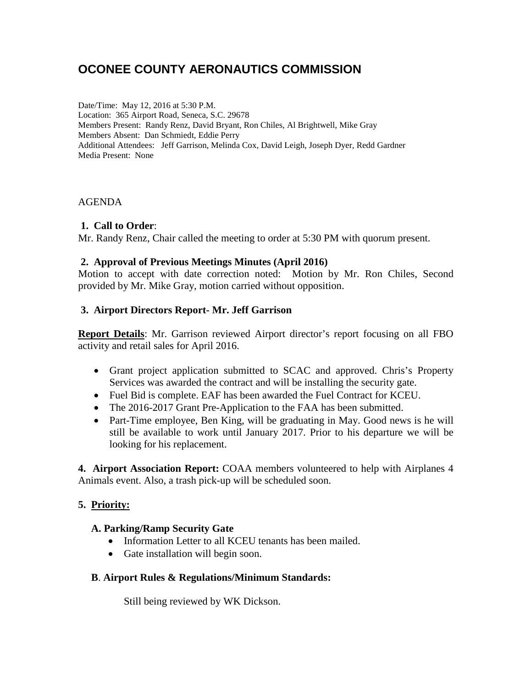# **OCONEE COUNTY AERONAUTICS COMMISSION**

Date/Time: May 12, 2016 at 5:30 P.M. Location: 365 Airport Road, Seneca, S.C. 29678 Members Present: Randy Renz, David Bryant, Ron Chiles, Al Brightwell, Mike Gray Members Absent: Dan Schmiedt, Eddie Perry Additional Attendees: Jeff Garrison, Melinda Cox, David Leigh, Joseph Dyer, Redd Gardner Media Present: None

#### AGENDA

#### **1. Call to Order**:

Mr. Randy Renz, Chair called the meeting to order at 5:30 PM with quorum present.

#### **2. Approval of Previous Meetings Minutes (April 2016)**

Motion to accept with date correction noted: Motion by Mr. Ron Chiles, Second provided by Mr. Mike Gray, motion carried without opposition.

## **3. Airport Directors Report- Mr. Jeff Garrison**

**Report Details**: Mr. Garrison reviewed Airport director's report focusing on all FBO activity and retail sales for April 2016.

- Grant project application submitted to SCAC and approved. Chris's Property Services was awarded the contract and will be installing the security gate.
- Fuel Bid is complete. EAF has been awarded the Fuel Contract for KCEU.
- The 2016-2017 Grant Pre-Application to the FAA has been submitted.
- Part-Time employee, Ben King, will be graduating in May. Good news is he will still be available to work until January 2017. Prior to his departure we will be looking for his replacement.

**4. Airport Association Report:** COAA members volunteered to help with Airplanes 4 Animals event. Also, a trash pick-up will be scheduled soon.

## **5. Priority:**

## **A. Parking/Ramp Security Gate**

- Information Letter to all KCEU tenants has been mailed.
- Gate installation will begin soon.

#### **B**. **Airport Rules & Regulations/Minimum Standards:**

Still being reviewed by WK Dickson.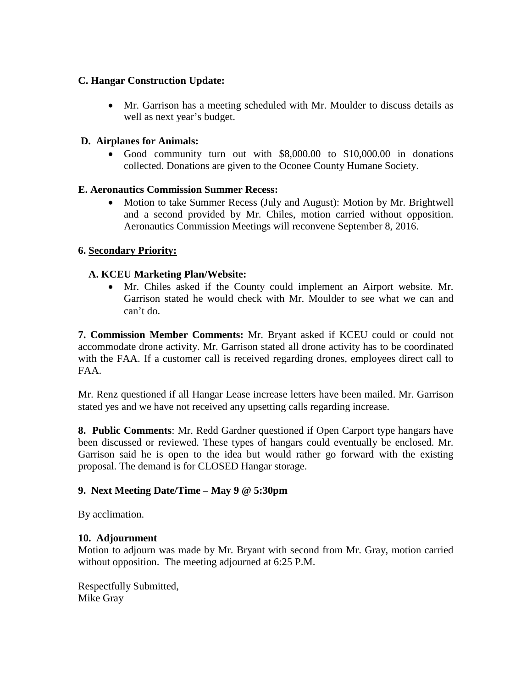## **C. Hangar Construction Update:**

• Mr. Garrison has a meeting scheduled with Mr. Moulder to discuss details as well as next year's budget.

## **D. Airplanes for Animals:**

• Good community turn out with \$8,000.00 to \$10,000.00 in donations collected. Donations are given to the Oconee County Humane Society.

## **E. Aeronautics Commission Summer Recess:**

• Motion to take Summer Recess (July and August): Motion by Mr. Brightwell and a second provided by Mr. Chiles, motion carried without opposition. Aeronautics Commission Meetings will reconvene September 8, 2016.

# **6. Secondary Priority:**

# **A. KCEU Marketing Plan/Website:**

• Mr. Chiles asked if the County could implement an Airport website. Mr. Garrison stated he would check with Mr. Moulder to see what we can and can't do.

**7. Commission Member Comments:** Mr. Bryant asked if KCEU could or could not accommodate drone activity. Mr. Garrison stated all drone activity has to be coordinated with the FAA. If a customer call is received regarding drones, employees direct call to FAA.

Mr. Renz questioned if all Hangar Lease increase letters have been mailed. Mr. Garrison stated yes and we have not received any upsetting calls regarding increase.

**8. Public Comments**: Mr. Redd Gardner questioned if Open Carport type hangars have been discussed or reviewed. These types of hangars could eventually be enclosed. Mr. Garrison said he is open to the idea but would rather go forward with the existing proposal. The demand is for CLOSED Hangar storage.

## **9. Next Meeting Date/Time – May 9 @ 5:30pm**

By acclimation.

## **10. Adjournment**

Motion to adjourn was made by Mr. Bryant with second from Mr. Gray, motion carried without opposition. The meeting adjourned at 6:25 P.M.

Respectfully Submitted, Mike Gray